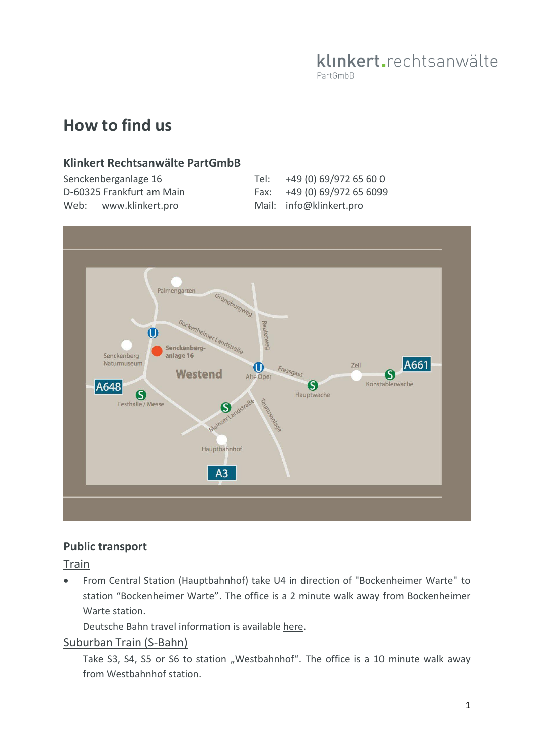## klinkert.rechtsanwälte PartGmbB

# **How to find us**

## **Klinkert Rechtsanwälte PartGmbB**

| Senckenberganlage 16      | Tel: +49 (0) 69/972 65 60 0 |
|---------------------------|-----------------------------|
| D-60325 Frankfurt am Main | Fax: +49 (0) 69/972 65 6099 |
| Web: www.klinkert.pro     | Mail: info@klinkert.pro     |



## **Public transport**

Train

 From Central Station (Hauptbahnhof) take U4 in direction of "Bockenheimer Warte" to station "Bockenheimer Warte". The office is a 2 minute walk away from Bockenheimer Warte station.

Deutsche Bahn travel information is available [here](https://reiseauskunft.bahn.de/bin/query.exe/dn?Z=Senckenbergmuseum%2C+Frankfurt+am+Main&et_cid=969&et_lid=509182&et_sub=senckenberg.de).

#### Suburban Train (S-Bahn)

Take S3, S4, S5 or S6 to station "Westbahnhof". The office is a 10 minute walk away from Westbahnhof station.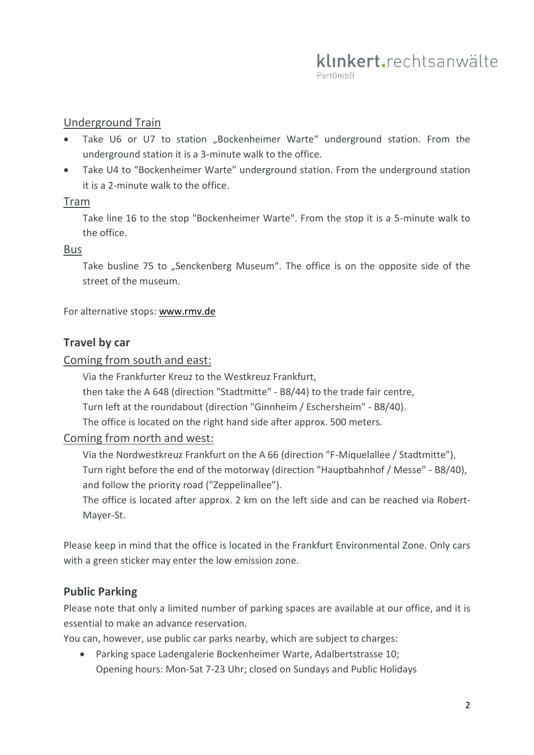## Underground Train

- Take U6 or U7 to station "Bockenheimer Warte" underground station. From the underground station it is a 3-minute walk to the office.
- Take U4 to "Bockenheimer Warte" underground station. From the underground station it is a 2-minute walk to the office.

#### Tram

Take line 16 to the stop "Bockenheimer Warte". From the stop it is a 5-minute walk to the office.

#### Bus

Take busline 75 to "Senckenberg Museum". The office is on the opposite side of the street of the museum.

For alternative stops: [www.rmv.de](https://www.rmv.de/c/de/start/)

### **Travel by car**

#### Coming from south and east:

Via the Frankfurter Kreuz to the Westkreuz Frankfurt,

then take the A 648 (direction "Stadtmitte" - B8/44) to the trade fair centre,

Turn left at the roundabout (direction "Ginnheim / Eschersheim" - B8/40).

The office is located on the right hand side after approx. 500 meters.

#### Coming from north and west:

Via the Nordwestkreuz Frankfurt on the A 66 (direction "F-Miquelallee / Stadtmitte"), Turn right before the end of the motorway (direction "Hauptbahnhof / Messe" - B8/40), and follow the priority road ("Zeppelinallee").

The office is located after approx. 2 km on the left side and can be reached via Robert-Mayer-St.

Please keep in mind that the office is located in the Frankfurt Environmental Zone. Only cars with a green sticker may enter the low emission zone.

## **Public Parking**

Please note that only a limited number of parking spaces are available at our office, and it is essential to make an advance reservation.

You can, however, use public car parks nearby, which are subject to charges:

 Parking space Ladengalerie Bockenheimer Warte, Adalbertstrasse 10; Opening hours: Mon-Sat 7-23 Uhr; closed on Sundays and Public Holidays